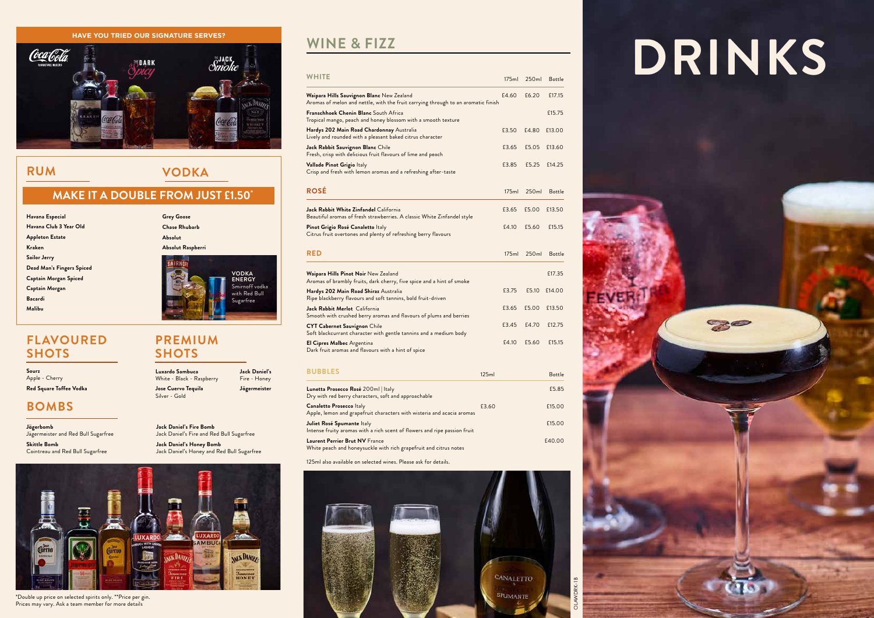## **RUM VODKA**

## **MAKE IT A DOUBLE FROM JUST £1.50\***





\*Double up price on selected spirits only. \*\*Price per gin. Prices may vary. Ask a team member for more details

125ml also available on selected wines. Please ask for details.



**Jack Daniel's Honey Bomb** Jack Daniel's Honey and Red Bull Sugarfree

| Lunetta Prosecco Rosé 200ml   Italy<br>Dry with red berry characters, soft and approachable                |       | £5.85  |
|------------------------------------------------------------------------------------------------------------|-------|--------|
| <b>Canaletto Prosecco Italy</b><br>Apple, lemon and grapefruit characters with wisteria and acacia aromas  | £3.60 | £15.00 |
| Juliet Rosé Spumante Italy<br>Intense fruity aromas with a rich scent of flowers and ripe passion fruit    |       | £15.00 |
| <b>Laurent Perrier Brut NV France</b><br>White peach and honeysuckle with rich grapefruit and citrus notes |       | £40.00 |

|                                                    |                                              |                                              | <b>WHITE</b>                                                                                                                   |       | 175ml 250ml        | Bottle |
|----------------------------------------------------|----------------------------------------------|----------------------------------------------|--------------------------------------------------------------------------------------------------------------------------------|-------|--------------------|--------|
|                                                    |                                              | <b><i>ASS DANTEY</i></b>                     | Waipara Hills Sauvignon Blanc New Zealand<br>Aromas of melon and nettle, with the fruit carrying through to an aromatic finish |       | £4.60 £6.20        | £17.15 |
|                                                    |                                              | <b>CRAANNE</b><br>VIELIMAGEY                 | <b>Franschhoek Chenin Blanc</b> South Africa<br>Tropical mango, peach and honey blossom with a smooth texture                  |       |                    | £15.75 |
|                                                    |                                              |                                              | Hardys 202 Main Road Chardonnay Australia<br>Lively and rounded with a pleasant baked citrus character                         | £3.50 | £4.80              | £13.00 |
|                                                    |                                              |                                              | Jack Rabbit Sauvignon Blanc Chile<br>Fresh, crisp with delicious fruit flavours of lime and peach                              | £3.65 | £5.05              | £13.60 |
| <b>RUM</b>                                         | <b>VODKA</b>                                 |                                              | Vallade Pinot Grigio Italy<br>Crisp and fresh with lemon aromas and a refreshing after-taste                                   | £3.85 | £5.25              | £14.25 |
|                                                    | <b>MAKE IT A DOUBLE FROM JUST £1.50°</b>     |                                              | <b>ROSÉ</b>                                                                                                                    |       | 175ml 250ml        | Bottle |
| Havana Especial                                    | <b>Grey Goose</b>                            |                                              | Jack Rabbit White Zinfandel California<br>Beautiful aromas of fresh strawberries. A classic White Zinfandel style              |       | £3.65 £5.00        | £13.50 |
| Havana Club 3 Year Old<br><b>Appleton Estate</b>   | <b>Chase Rhubarb</b><br>Absolut              |                                              | Pinot Grigio Rosé Canaletto Italy<br>Citrus fruit overtones and plenty of refreshing berry flavours                            | £4.10 | £5.60              | £15.15 |
| Kraken<br>Sailor Jerry                             | Absolut Raspberri                            |                                              | <b>RED</b>                                                                                                                     |       | 175ml 250ml Bottle |        |
| Dead Man's Fingers Spiced<br>Captain Morgan Spiced |                                              | <b>VODKA</b><br><b>ENERGY</b>                | Waipara Hills Pinot Noir New Zealand<br>Aromas of brambly fruits, dark cherry, five spice and a hint of smoke                  |       |                    | £17.35 |
| Captain Morgan<br>Bacardi                          |                                              | Smirnoff vodka<br>with Red Bull<br>Sugarfree | Hardys 202 Main Road Shiraz Australia<br>Ripe blackberry flavours and soft tannins, bold fruit-driven                          | £3.75 | £5.10              | £14.00 |
| Malibu                                             |                                              |                                              | Jack Rabbit Merlot California<br>Smooth with crushed berry aromas and flavours of plums and berries                            | £3.65 | £5.00              | £13.50 |
|                                                    |                                              |                                              | <b>CYT Cabernet Sauvignon Chile</b><br>Soft blackcurrant character with gentle tannins and a medium body                       | £3.45 | £4.70              | £12.75 |
| <b>FLAVOURED</b><br><b>SHOTS</b>                   | <b>PREMIUM</b><br><b>SHOTS</b>               |                                              | El Cipres Malbec Argentina<br>Dark fruit aromas and flavours with a hint of spice                                              | £4.10 | £5.60              | £15.15 |
| Sourz<br>Apple - Cherry                            | Luxardo Sambuca<br>White - Black - Raspberry | <b>Jack Daniel's</b><br>Fire - Honey         | <b>BUBBLES</b><br>125ml                                                                                                        |       |                    | Bottle |
| Red Sauare Toffee Vodka                            | Losa Cuarva Tequila                          | läsermeister                                 | $I$ unotta Prosecco Rosé 200ml Italy                                                                                           |       |                    | F5.85  |

OLAWDRK-1B

# WINE & FIZZ<br>
BRINKS

80

**Luxardo Sambuca** White - Black - Raspberry **Jose Cuervo Tequila** Silver - Gold

**Jack Daniel's** Fire - Honey **Jägermeister**

## **PREMIUM SHOTS**

## **FLAVOURED SHOTS**

**Jägerbomb** Jägermeister and Red Bull Sugarfree

**Skittle Bomb** Cointreau and Red Bull Sugarfree **Jack Daniel's Fire Bomb** Jack Daniel's Fire and Red Bull Sugarfree

## **BOMBS**

Apple - Cherry **Red Square Toffee Vodka**

### **HAVE YOU TRIED OUR SIGNATURE SERVES?**